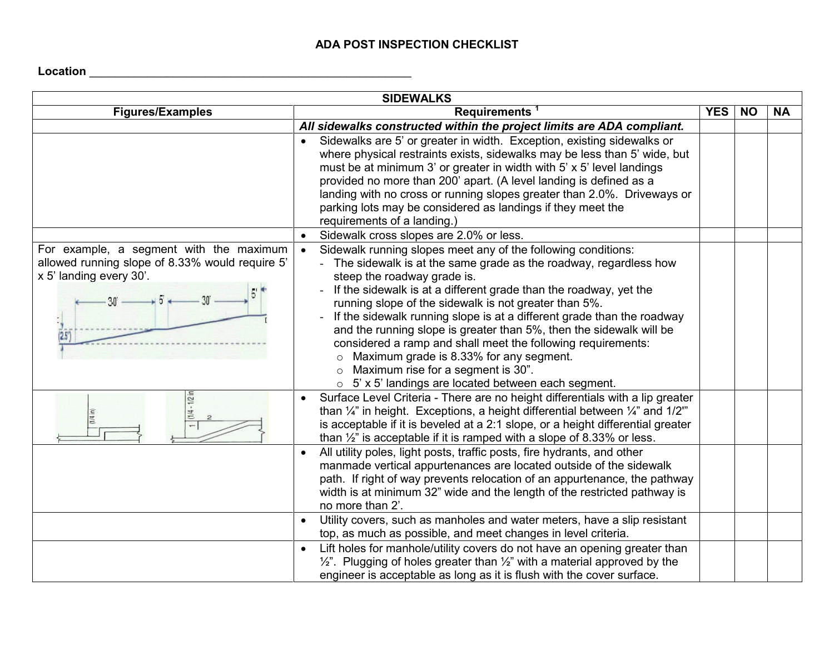## **ADA POST INSPECTION CHECKLIST**

**Location** \_\_\_\_\_\_\_\_\_\_\_\_\_\_\_\_\_\_\_\_\_\_\_\_\_\_\_\_\_\_\_\_\_\_\_\_\_\_\_\_\_\_\_\_\_\_\_\_\_\_

| <b>SIDEWALKS</b>                                                                                                               |                                                                                                                                                                                                                                                                                                                                                                                                                                                                                                                                                                                                                                                                                               |            |           |           |
|--------------------------------------------------------------------------------------------------------------------------------|-----------------------------------------------------------------------------------------------------------------------------------------------------------------------------------------------------------------------------------------------------------------------------------------------------------------------------------------------------------------------------------------------------------------------------------------------------------------------------------------------------------------------------------------------------------------------------------------------------------------------------------------------------------------------------------------------|------------|-----------|-----------|
| <b>Figures/Examples</b>                                                                                                        | Requirements <sup>1</sup>                                                                                                                                                                                                                                                                                                                                                                                                                                                                                                                                                                                                                                                                     | <b>YES</b> | <b>NO</b> | <b>NA</b> |
|                                                                                                                                | All sidewalks constructed within the project limits are ADA compliant.                                                                                                                                                                                                                                                                                                                                                                                                                                                                                                                                                                                                                        |            |           |           |
|                                                                                                                                | Sidewalks are 5' or greater in width. Exception, existing sidewalks or<br>where physical restraints exists, sidewalks may be less than 5' wide, but<br>must be at minimum 3' or greater in width with 5' x 5' level landings<br>provided no more than 200' apart. (A level landing is defined as a<br>landing with no cross or running slopes greater than 2.0%. Driveways or<br>parking lots may be considered as landings if they meet the<br>requirements of a landing.)                                                                                                                                                                                                                   |            |           |           |
|                                                                                                                                | Sidewalk cross slopes are 2.0% or less.<br>$\bullet$                                                                                                                                                                                                                                                                                                                                                                                                                                                                                                                                                                                                                                          |            |           |           |
| For example, a segment with the maximum<br>allowed running slope of 8.33% would require 5'<br>x 5' landing every 30'.<br>(2.5) | Sidewalk running slopes meet any of the following conditions:<br>$\bullet$<br>- The sidewalk is at the same grade as the roadway, regardless how<br>steep the roadway grade is.<br>If the sidewalk is at a different grade than the roadway, yet the<br>running slope of the sidewalk is not greater than 5%.<br>If the sidewalk running slope is at a different grade than the roadway<br>and the running slope is greater than 5%, then the sidewalk will be<br>considered a ramp and shall meet the following requirements:<br>$\circ$ Maximum grade is 8.33% for any segment.<br>$\circ$ Maximum rise for a segment is 30".<br>$\circ$ 5' x 5' landings are located between each segment. |            |           |           |
|                                                                                                                                | Surface Level Criteria - There are no height differentials with a lip greater<br>$\bullet$<br>than $\frac{1}{4}$ " in height. Exceptions, a height differential between $\frac{1}{4}$ " and $\frac{1}{2}$ "<br>is acceptable if it is beveled at a 2:1 slope, or a height differential greater<br>than $\frac{1}{2}$ " is acceptable if it is ramped with a slope of 8.33% or less.                                                                                                                                                                                                                                                                                                           |            |           |           |
|                                                                                                                                | All utility poles, light posts, traffic posts, fire hydrants, and other<br>$\bullet$<br>manmade vertical appurtenances are located outside of the sidewalk<br>path. If right of way prevents relocation of an appurtenance, the pathway<br>width is at minimum 32" wide and the length of the restricted pathway is<br>no more than 2'.                                                                                                                                                                                                                                                                                                                                                       |            |           |           |
|                                                                                                                                | Utility covers, such as manholes and water meters, have a slip resistant<br>$\bullet$<br>top, as much as possible, and meet changes in level criteria.                                                                                                                                                                                                                                                                                                                                                                                                                                                                                                                                        |            |           |           |
|                                                                                                                                | Lift holes for manhole/utility covers do not have an opening greater than<br>$\bullet$<br>$1/2$ ". Plugging of holes greater than $1/2$ " with a material approved by the<br>engineer is acceptable as long as it is flush with the cover surface.                                                                                                                                                                                                                                                                                                                                                                                                                                            |            |           |           |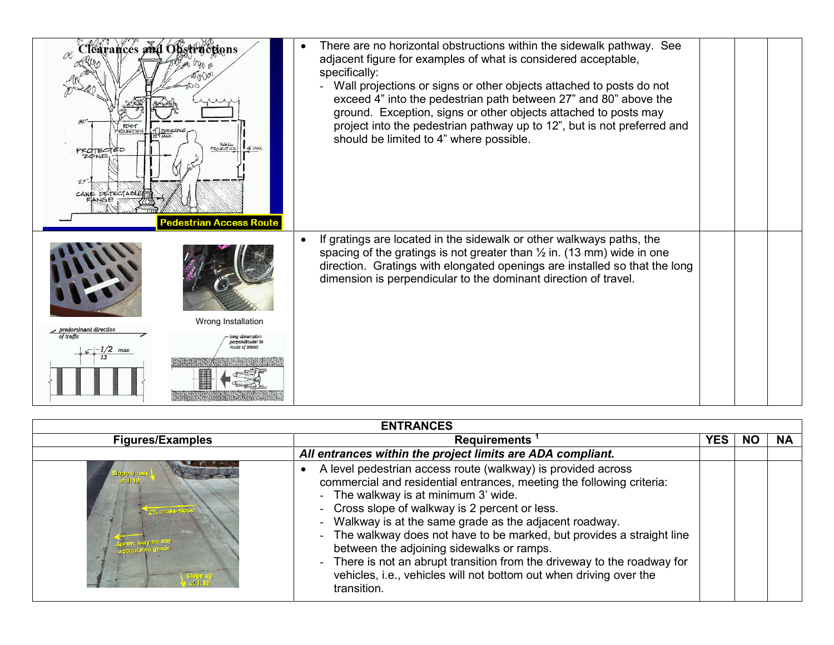| Clearances and Obstructions<br>ROLECTION<br>4 <b>DESIRAL</b><br>PROJECTION 4" MAX<br>PROTECTED<br>ZONE<br>CANE DETECTABLE<br><b>Pedestrian Access Route</b> | There are no horizontal obstructions within the sidewalk pathway. See<br>adjacent figure for examples of what is considered acceptable,<br>specifically:<br>Wall projections or signs or other objects attached to posts do not<br>exceed 4" into the pedestrian path between 27" and 80" above the<br>ground. Exception, signs or other objects attached to posts may<br>project into the pedestrian pathway up to 12", but is not preferred and<br>should be limited to 4" where possible. |  |
|-------------------------------------------------------------------------------------------------------------------------------------------------------------|----------------------------------------------------------------------------------------------------------------------------------------------------------------------------------------------------------------------------------------------------------------------------------------------------------------------------------------------------------------------------------------------------------------------------------------------------------------------------------------------|--|
| Wrong Installation<br>predominant direction<br>of traffic<br>emendicular i<br>oute of travel<br>$\mathcal{L}$ - 1/2 max                                     | If gratings are located in the sidewalk or other walkways paths, the<br>$\bullet$<br>spacing of the gratings is not greater than $\frac{1}{2}$ in. (13 mm) wide in one<br>direction. Gratings with elongated openings are installed so that the long<br>dimension is perpendicular to the dominant direction of travel.                                                                                                                                                                      |  |

| <b>ENTRANCES</b>           |                                                                                                                                                                                                                                                                                                                                                                                                                                                                                                                                                                                  |      |    |           |  |
|----------------------------|----------------------------------------------------------------------------------------------------------------------------------------------------------------------------------------------------------------------------------------------------------------------------------------------------------------------------------------------------------------------------------------------------------------------------------------------------------------------------------------------------------------------------------------------------------------------------------|------|----|-----------|--|
| <b>Figures/Examples</b>    | <b>Requirements</b>                                                                                                                                                                                                                                                                                                                                                                                                                                                                                                                                                              | YES. | NO | <b>NA</b> |  |
|                            | All entrances within the project limits are ADA compliant.                                                                                                                                                                                                                                                                                                                                                                                                                                                                                                                       |      |    |           |  |
| lope dowr<br>2% eross-sl00 | A level pedestrian access route (walkway) is provided across<br>commercial and residential entrances, meeting the following criteria:<br>- The walkway is at minimum 3' wide.<br>- Cross slope of walkway is 2 percent or less.<br>Walkway is at the same grade as the adjacent roadway.<br>- The walkway does not have to be marked, but provides a straight line<br>between the adjoining sidewalks or ramps.<br>- There is not an abrupt transition from the driveway to the roadway for<br>vehicles, i.e., vehicles will not bottom out when driving over the<br>transition. |      |    |           |  |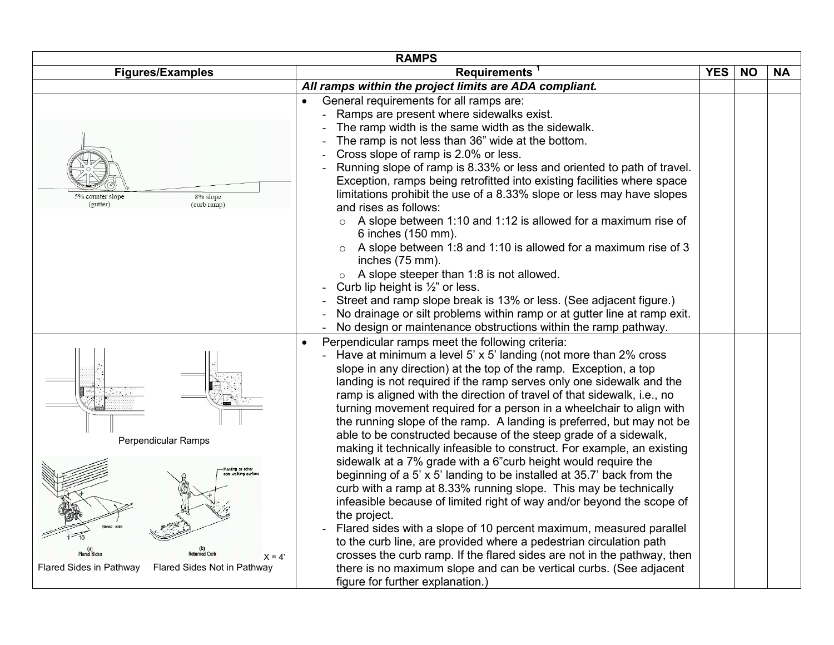| <b>RAMPS</b>                                                                                                                 |                                                                                                                                                                                                                                                                                                                                                                                                                                                                                                                                                                                                                                                                                                                                                                                                                                                                                                                                                                                                                                                                                                                                                                                                                                                                                                 |            |           |           |  |  |
|------------------------------------------------------------------------------------------------------------------------------|-------------------------------------------------------------------------------------------------------------------------------------------------------------------------------------------------------------------------------------------------------------------------------------------------------------------------------------------------------------------------------------------------------------------------------------------------------------------------------------------------------------------------------------------------------------------------------------------------------------------------------------------------------------------------------------------------------------------------------------------------------------------------------------------------------------------------------------------------------------------------------------------------------------------------------------------------------------------------------------------------------------------------------------------------------------------------------------------------------------------------------------------------------------------------------------------------------------------------------------------------------------------------------------------------|------------|-----------|-----------|--|--|
| <b>Figures/Examples</b>                                                                                                      | <b>Requirements</b>                                                                                                                                                                                                                                                                                                                                                                                                                                                                                                                                                                                                                                                                                                                                                                                                                                                                                                                                                                                                                                                                                                                                                                                                                                                                             | <b>YES</b> | <b>NO</b> | <b>NA</b> |  |  |
|                                                                                                                              | All ramps within the project limits are ADA compliant.                                                                                                                                                                                                                                                                                                                                                                                                                                                                                                                                                                                                                                                                                                                                                                                                                                                                                                                                                                                                                                                                                                                                                                                                                                          |            |           |           |  |  |
| 8% slope<br>5% counter slope<br>(gutter)<br>(curb ramp)                                                                      | General requirements for all ramps are:<br>$\bullet$<br>Ramps are present where sidewalks exist.<br>The ramp width is the same width as the sidewalk.<br>The ramp is not less than 36" wide at the bottom.<br>Cross slope of ramp is 2.0% or less.<br>Running slope of ramp is 8.33% or less and oriented to path of travel.<br>Exception, ramps being retrofitted into existing facilities where space<br>limitations prohibit the use of a 8.33% slope or less may have slopes<br>and rises as follows:<br>$\circ$ A slope between 1:10 and 1:12 is allowed for a maximum rise of<br>6 inches (150 mm).<br>A slope between 1:8 and 1:10 is allowed for a maximum rise of 3<br>$\circ$<br>inches (75 mm).<br>A slope steeper than 1:8 is not allowed.<br>$\circ$<br>Curb lip height is $\frac{1}{2}$ " or less.<br>Street and ramp slope break is 13% or less. (See adjacent figure.)<br>No drainage or silt problems within ramp or at gutter line at ramp exit.<br>No design or maintenance obstructions within the ramp pathway.                                                                                                                                                                                                                                                            |            |           |           |  |  |
| Perpendicular Ramps<br>Planting or other<br>lared side<br>$X = 4'$<br>Flared Sides in Pathway<br>Flared Sides Not in Pathway | Perpendicular ramps meet the following criteria:<br>$\bullet$<br>Have at minimum a level 5' x 5' landing (not more than 2% cross<br>slope in any direction) at the top of the ramp. Exception, a top<br>landing is not required if the ramp serves only one sidewalk and the<br>ramp is aligned with the direction of travel of that sidewalk, i.e., no<br>turning movement required for a person in a wheelchair to align with<br>the running slope of the ramp. A landing is preferred, but may not be<br>able to be constructed because of the steep grade of a sidewalk,<br>making it technically infeasible to construct. For example, an existing<br>sidewalk at a 7% grade with a 6"curb height would require the<br>beginning of a 5' x 5' landing to be installed at 35.7' back from the<br>curb with a ramp at 8.33% running slope. This may be technically<br>infeasible because of limited right of way and/or beyond the scope of<br>the project.<br>Flared sides with a slope of 10 percent maximum, measured parallel<br>to the curb line, are provided where a pedestrian circulation path<br>crosses the curb ramp. If the flared sides are not in the pathway, then<br>there is no maximum slope and can be vertical curbs. (See adjacent<br>figure for further explanation.) |            |           |           |  |  |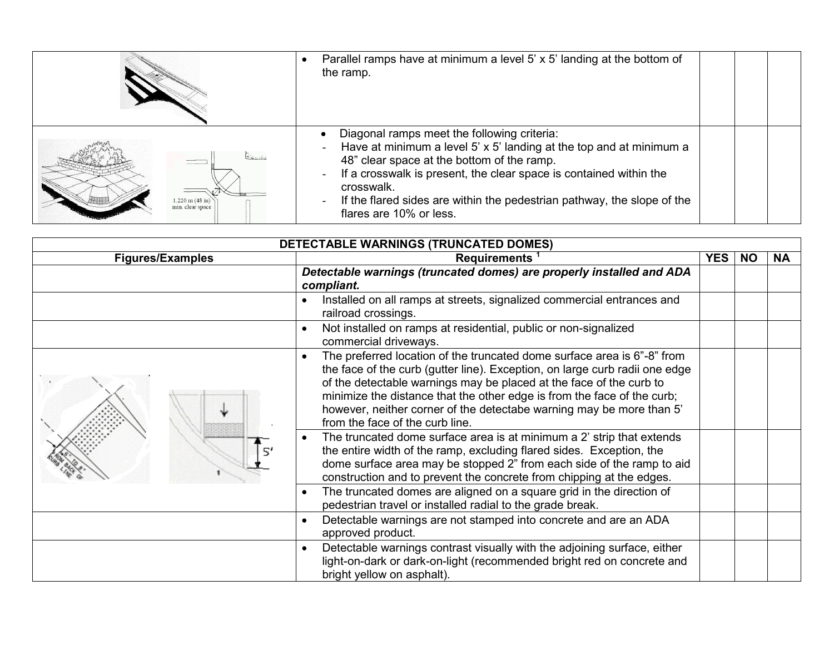|                                                       | Parallel ramps have at minimum a level 5' x 5' landing at the bottom of<br>the ramp.                                                                                                                                                                                                                                                                                                                                                           |  |  |
|-------------------------------------------------------|------------------------------------------------------------------------------------------------------------------------------------------------------------------------------------------------------------------------------------------------------------------------------------------------------------------------------------------------------------------------------------------------------------------------------------------------|--|--|
| $1.220 \text{ m} (48 \text{ in})$<br>min. clear space | Diagonal ramps meet the following criteria:<br>Have at minimum a level 5' x 5' landing at the top and at minimum a<br>$\overline{\phantom{a}}$<br>48" clear space at the bottom of the ramp.<br>If a crosswalk is present, the clear space is contained within the<br>$\overline{\phantom{a}}$<br>crosswalk.<br>If the flared sides are within the pedestrian pathway, the slope of the<br>$\overline{\phantom{a}}$<br>flares are 10% or less. |  |  |

| DETECTABLE WARNINGS (TRUNCATED DOMES) |                                                                                                                                                                                                                                                                                                                                                                                                                                  |            |           |           |
|---------------------------------------|----------------------------------------------------------------------------------------------------------------------------------------------------------------------------------------------------------------------------------------------------------------------------------------------------------------------------------------------------------------------------------------------------------------------------------|------------|-----------|-----------|
| <b>Figures/Examples</b>               | <b>Requirements</b>                                                                                                                                                                                                                                                                                                                                                                                                              | <b>YES</b> | <b>NO</b> | <b>NA</b> |
|                                       | Detectable warnings (truncated domes) are properly installed and ADA<br>compliant.                                                                                                                                                                                                                                                                                                                                               |            |           |           |
|                                       | Installed on all ramps at streets, signalized commercial entrances and<br>railroad crossings.                                                                                                                                                                                                                                                                                                                                    |            |           |           |
|                                       | Not installed on ramps at residential, public or non-signalized<br>$\bullet$<br>commercial driveways.                                                                                                                                                                                                                                                                                                                            |            |           |           |
|                                       | The preferred location of the truncated dome surface area is 6"-8" from<br>$\bullet$<br>the face of the curb (gutter line). Exception, on large curb radii one edge<br>of the detectable warnings may be placed at the face of the curb to<br>minimize the distance that the other edge is from the face of the curb;<br>however, neither corner of the detectabe warning may be more than 5'<br>from the face of the curb line. |            |           |           |
|                                       | The truncated dome surface area is at minimum a 2' strip that extends<br>the entire width of the ramp, excluding flared sides. Exception, the<br>dome surface area may be stopped 2" from each side of the ramp to aid<br>construction and to prevent the concrete from chipping at the edges.                                                                                                                                   |            |           |           |
|                                       | The truncated domes are aligned on a square grid in the direction of<br>pedestrian travel or installed radial to the grade break.                                                                                                                                                                                                                                                                                                |            |           |           |
|                                       | Detectable warnings are not stamped into concrete and are an ADA<br>$\bullet$<br>approved product.                                                                                                                                                                                                                                                                                                                               |            |           |           |
|                                       | Detectable warnings contrast visually with the adjoining surface, either<br>$\bullet$<br>light-on-dark or dark-on-light (recommended bright red on concrete and<br>bright yellow on asphalt).                                                                                                                                                                                                                                    |            |           |           |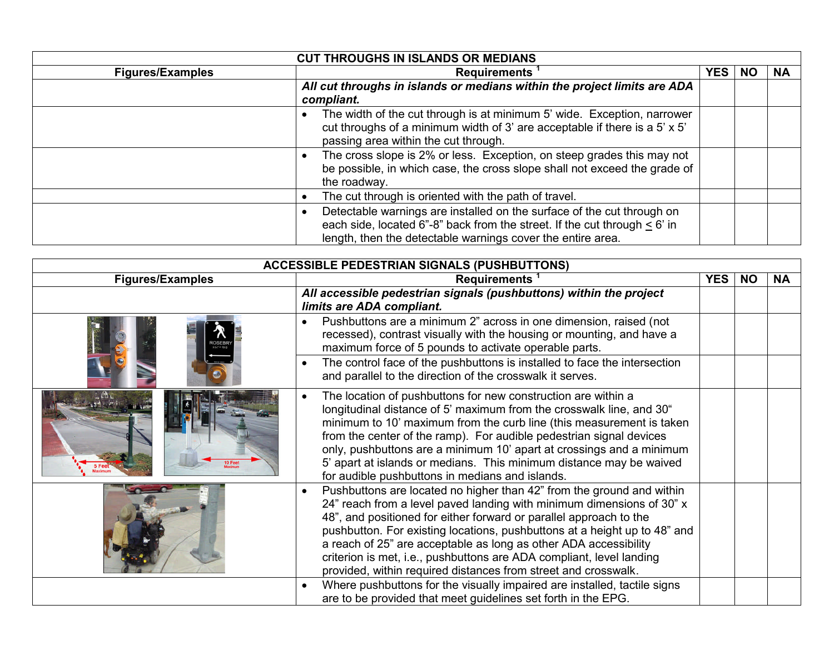| <b>CUT THROUGHS IN ISLANDS OR MEDIANS</b> |                                                                                                                                                                                                                          |            |           |           |
|-------------------------------------------|--------------------------------------------------------------------------------------------------------------------------------------------------------------------------------------------------------------------------|------------|-----------|-----------|
| <b>Figures/Examples</b>                   | <b>Requirements</b>                                                                                                                                                                                                      | <b>YES</b> | <b>NO</b> | <b>NA</b> |
|                                           | All cut throughs in islands or medians within the project limits are ADA                                                                                                                                                 |            |           |           |
|                                           | compliant.                                                                                                                                                                                                               |            |           |           |
|                                           | The width of the cut through is at minimum 5' wide. Exception, narrower<br>cut throughs of a minimum width of 3' are acceptable if there is a 5' x 5'<br>passing area within the cut through.                            |            |           |           |
|                                           | The cross slope is 2% or less. Exception, on steep grades this may not<br>be possible, in which case, the cross slope shall not exceed the grade of<br>the roadway.                                                      |            |           |           |
|                                           | The cut through is oriented with the path of travel.                                                                                                                                                                     |            |           |           |
|                                           | Detectable warnings are installed on the surface of the cut through on<br>each side, located 6"-8" back from the street. If the cut through $\leq 6$ ' in<br>length, then the detectable warnings cover the entire area. |            |           |           |

| <b>ACCESSIBLE PEDESTRIAN SIGNALS (PUSHBUTTONS)</b> |                                                                                                                                                                                                                                                                                                                                                                                                                                                                                                                              |            |           |           |
|----------------------------------------------------|------------------------------------------------------------------------------------------------------------------------------------------------------------------------------------------------------------------------------------------------------------------------------------------------------------------------------------------------------------------------------------------------------------------------------------------------------------------------------------------------------------------------------|------------|-----------|-----------|
| <b>Figures/Examples</b>                            | <b>Requirements</b>                                                                                                                                                                                                                                                                                                                                                                                                                                                                                                          | <b>YES</b> | <b>NO</b> | <b>NA</b> |
|                                                    | All accessible pedestrian signals (pushbuttons) within the project<br>limits are ADA compliant.                                                                                                                                                                                                                                                                                                                                                                                                                              |            |           |           |
|                                                    | Pushbuttons are a minimum 2" across in one dimension, raised (not<br>recessed), contrast visually with the housing or mounting, and have a<br>maximum force of 5 pounds to activate operable parts.                                                                                                                                                                                                                                                                                                                          |            |           |           |
|                                                    | The control face of the pushbuttons is installed to face the intersection<br>and parallel to the direction of the crosswalk it serves.                                                                                                                                                                                                                                                                                                                                                                                       |            |           |           |
|                                                    | The location of pushbuttons for new construction are within a<br>$\bullet$<br>longitudinal distance of 5' maximum from the crosswalk line, and 30"<br>minimum to 10' maximum from the curb line (this measurement is taken<br>from the center of the ramp). For audible pedestrian signal devices<br>only, pushbuttons are a minimum 10' apart at crossings and a minimum<br>5' apart at islands or medians. This minimum distance may be waived<br>for audible pushbuttons in medians and islands.                          |            |           |           |
|                                                    | Pushbuttons are located no higher than 42" from the ground and within<br>$\bullet$<br>24" reach from a level paved landing with minimum dimensions of 30" x<br>48", and positioned for either forward or parallel approach to the<br>pushbutton. For existing locations, pushbuttons at a height up to 48" and<br>a reach of 25" are acceptable as long as other ADA accessibility<br>criterion is met, i.e., pushbuttons are ADA compliant, level landing<br>provided, within required distances from street and crosswalk. |            |           |           |
|                                                    | Where pushbuttons for the visually impaired are installed, tactile signs<br>$\bullet$<br>are to be provided that meet guidelines set forth in the EPG.                                                                                                                                                                                                                                                                                                                                                                       |            |           |           |